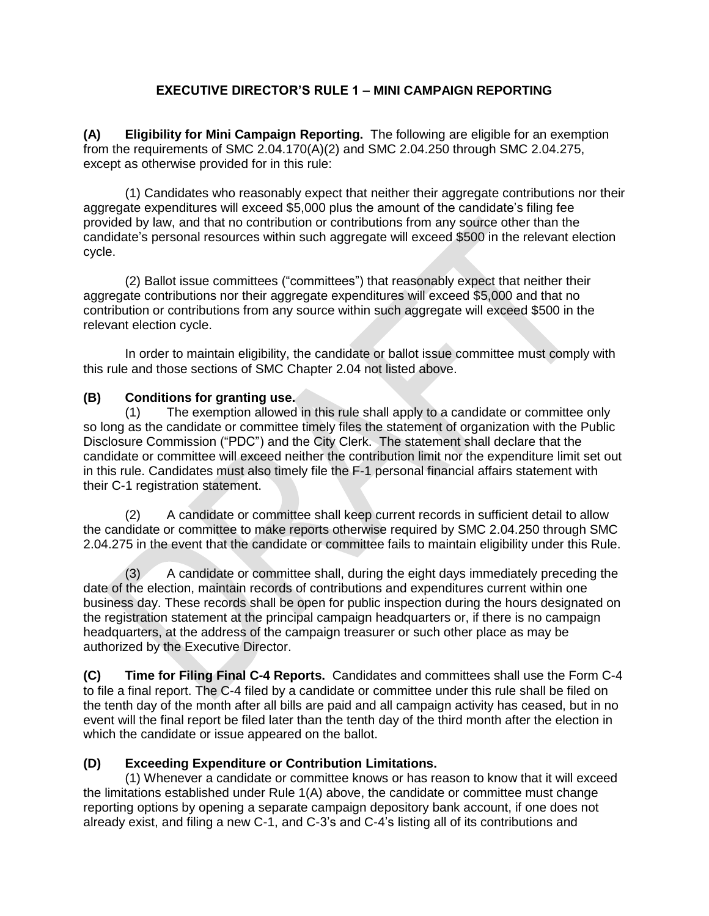## **EXECUTIVE DIRECTOR'S RULE 1 – MINI CAMPAIGN REPORTING**

**(A) Eligibility for Mini Campaign Reporting.** The following are eligible for an exemption from the requirements of SMC 2.04.170(A)(2) and SMC 2.04.250 through SMC 2.04.275, except as otherwise provided for in this rule:

(1) Candidates who reasonably expect that neither their aggregate contributions nor their aggregate expenditures will exceed \$5,000 plus the amount of the candidate's filing fee provided by law, and that no contribution or contributions from any source other than the candidate's personal resources within such aggregate will exceed \$500 in the relevant election cycle.

(2) Ballot issue committees ("committees") that reasonably expect that neither their aggregate contributions nor their aggregate expenditures will exceed \$5,000 and that no contribution or contributions from any source within such aggregate will exceed \$500 in the relevant election cycle.

In order to maintain eligibility, the candidate or ballot issue committee must comply with this rule and those sections of SMC Chapter 2.04 not listed above.

## **(B) Conditions for granting use.**

(1) The exemption allowed in this rule shall apply to a candidate or committee only so long as the candidate or committee timely files the statement of organization with the Public Disclosure Commission ("PDC") and the City Clerk. The statement shall declare that the candidate or committee will exceed neither the contribution limit nor the expenditure limit set out in this rule. Candidates must also timely file the F-1 personal financial affairs statement with their C-1 registration statement.

(2) A candidate or committee shall keep current records in sufficient detail to allow the candidate or committee to make reports otherwise required by SMC 2.04.250 through SMC 2.04.275 in the event that the candidate or committee fails to maintain eligibility under this Rule.

(3) A candidate or committee shall, during the eight days immediately preceding the date of the election, maintain records of contributions and expenditures current within one business day. These records shall be open for public inspection during the hours designated on the registration statement at the principal campaign headquarters or, if there is no campaign headquarters, at the address of the campaign treasurer or such other place as may be authorized by the Executive Director.

**(C) Time for Filing Final C-4 Reports.** Candidates and committees shall use the Form C-4 to file a final report. The C-4 filed by a candidate or committee under this rule shall be filed on the tenth day of the month after all bills are paid and all campaign activity has ceased, but in no event will the final report be filed later than the tenth day of the third month after the election in which the candidate or issue appeared on the ballot.

## **(D) Exceeding Expenditure or Contribution Limitations.**

(1) Whenever a candidate or committee knows or has reason to know that it will exceed the limitations established under Rule 1(A) above, the candidate or committee must change reporting options by opening a separate campaign depository bank account, if one does not already exist, and filing a new C-1, and C-3's and C-4's listing all of its contributions and